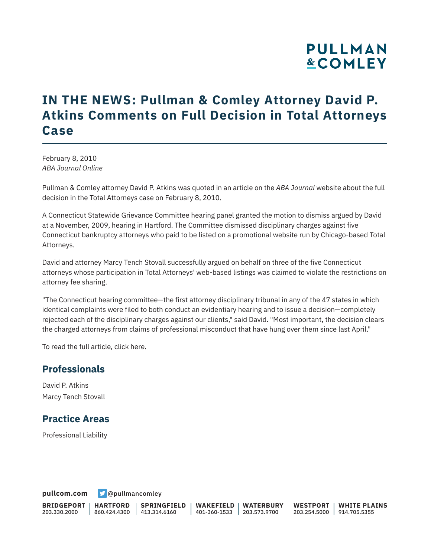# **PULLMAN &COMLEY**

## **IN THE NEWS: Pullman & Comley Attorney David P. Atkins Comments on Full Decision in Total Attorneys Case**

February 8, 2010 *ABA Journal Online*

Pullman & Comley attorney David P. Atkins was quoted in an article on the *ABA Journal* website about the full decision in the Total Attorneys case on February 8, 2010.

A Connecticut Statewide Grievance Committee hearing panel granted the motion to dismiss argued by David at a November, 2009, hearing in Hartford. The Committee dismissed disciplinary charges against five Connecticut bankruptcy attorneys who paid to be listed on a promotional website run by Chicago-based Total Attorneys.

David and attorney Marcy Tench Stovall successfully argued on behalf on three of the five Connecticut attorneys whose participation in Total Attorneys' web-based listings was claimed to violate the restrictions on attorney fee sharing.

"The Connecticut hearing committee—the first attorney disciplinary tribunal in any of the 47 states in which identical complaints were filed to both conduct an evidentiary hearing and to issue a decision—completely rejected each of the disciplinary charges against our clients," said David. "Most important, the decision clears the charged attorneys from claims of professional misconduct that have hung over them since last April."

To read the full article, click here.

#### **Professionals**

David P. Atkins Marcy Tench Stovall

### **Practice Areas**

Professional Liability

**[pullcom.com](https://www.pullcom.com) g** [@pullmancomley](https://twitter.com/PullmanComley)

**BRIDGEPORT** 203.330.2000

**HARTFORD**

860.424.4300 413.314.6160 **SPRINGFIELD** **WAKEFIELD WATERBURY** 401-360-1533 203.573.9700

**WESTPORT WHITE PLAINS** 203.254.5000 914.705.5355